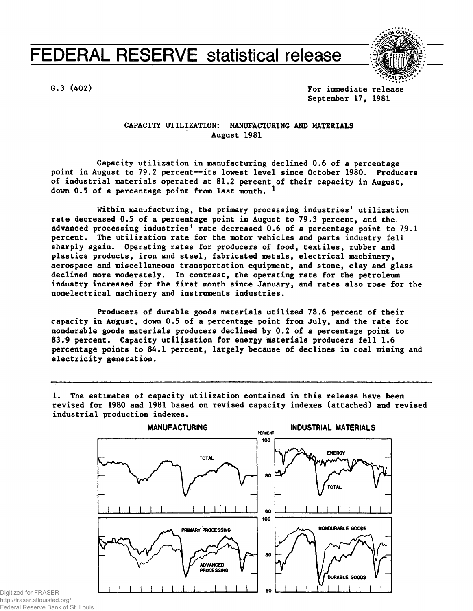## **FEDERAL RESERVE statistical release**



**G.3 (402) For immediate release September 17, 1981**

> **CAPACITY UTILIZATION: MANUFACTURING AND MATERIALS August 1981**

**Capacity utilization in manufacturing declined 0.6 of a percentage point in August to 79.2 percent—its lowest level since October 1980. Producers of industrial materials operated at 81.2 percent of their capacity in August, down 0.5 of a percentage point from last month. ^**

**Within manufacturing, the primary processing industries' utilization rate decreased 0.5 of a percentage point in August to 79.3 percent, and the advanced processing industries' rate decreased 0.6 of a percentage point to 79.1 percent. The utilization rate for the motor vehicles and parts industry fell sharply again. Operating rates for producers of food, textiles, rubber and plastics products, iron and steel, fabricated metals, electrical machinery, aerospace and miscellaneous transportation equipment, and stone, clay and glass declined more moderately. In contrast, the operating rate for the petroleum industry increased for the first month since January, and rates also rose for the nonelectrical machinery and instruments industries.**

**Producers of durable goods materials utilized 78.6 percent of their capacity in August, down 0.5 of a percentage point from July, and the rate for nondurable goods materials producers declined by 0.2 of a percentage point to 83.9 percent. Capacity utilization for energy materials producers fell 1.6 percentage points to 84.1 percent, largely because of declines in coal mining and electricity generation.**

**1. The estimates of capacity utilization contained in this release have been revised for 1980 and 1981 based on revised capacity indexes (attached) and revised industrial production indexes.**



Digitized for FRASER http://fraser.stlouisfed.org/ Federal Reserve Bank of St. Louis